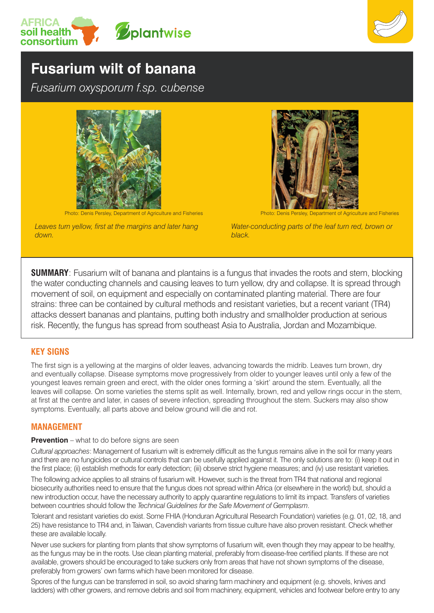



# **Fusarium wilt of banana**

*Fusarium oxysporum f.sp. cubense*



Photo: Denis Persley, Department of Agriculture and Fisheries Photo: Denis Persley, Department of Agriculture and Fisheries

*Leaves turn yellow, first at the margins and later hang down.*



*Water-conducting parts of the leaf turn red, brown or black.*

**SUMMARY**: Fusarium wilt of banana and plantains is a fungus that invades the roots and stem, blocking the water conducting channels and causing leaves to turn yellow, dry and collapse. It is spread through movement of soil, on equipment and especially on contaminated planting material. There are four strains: three can be contained by cultural methods and resistant varieties, but a recent variant (TR4) attacks dessert bananas and plantains, putting both industry and smallholder production at serious risk. Recently, the fungus has spread from southeast Asia to Australia, Jordan and Mozambique.

# **KEY SIGNS**

The first sign is a yellowing at the margins of older leaves, advancing towards the midrib. Leaves turn brown, dry and eventually collapse. Disease symptoms move progressively from older to younger leaves until only a few of the youngest leaves remain green and erect, with the older ones forming a 'skirt' around the stem. Eventually, all the leaves will collapse. On some varieties the stems split as well. Internally, brown, red and yellow rings occur in the stem, at first at the centre and later, in cases of severe infection, spreading throughout the stem. Suckers may also show symptoms. Eventually, all parts above and below ground will die and rot.

# **MANAGEMENT**

#### **Prevention** – what to do before signs are seen

*Cultural approaches*: Management of fusarium wilt is extremely difficult as the fungus remains alive in the soil for many years and there are no fungicides or cultural controls that can be usefully applied against it. The only solutions are to: (i) keep it out in the first place; (ii) establish methods for early detection; (iii) observe strict hygiene measures; and (iv) use resistant varieties.

The following advice applies to all strains of fusarium wilt. However, such is the threat from TR4 that national and regional biosecurity authorities need to ensure that the fungus does not spread within Africa (or elsewhere in the world) but, should a new introduction occur, have the necessary authority to apply quarantine regulations to limit its impact. Transfers of varieties between countries should follow the *Technical Guidelines for the Safe Movement of Germplasm*.

Tolerant and resistant varieties do exist. Some FHIA (Honduran Agricultural Research Foundation) varieties (e.g. 01, 02, 18, and 25) have resistance to TR4 and, in Taiwan, Cavendish variants from tissue culture have also proven resistant. Check whether these are available locally.

Never use suckers for planting from plants that show symptoms of fusarium wilt, even though they may appear to be healthy, as the fungus may be in the roots. Use clean planting material, preferably from disease-free certified plants. If these are not available, growers should be encouraged to take suckers only from areas that have not shown symptoms of the disease, preferably from growers' own farms which have been monitored for disease.

Spores of the fungus can be transferred in soil, so avoid sharing farm machinery and equipment (e.g. shovels, knives and ladders) with other growers, and remove debris and soil from machinery, equipment, vehicles and footwear before entry to any